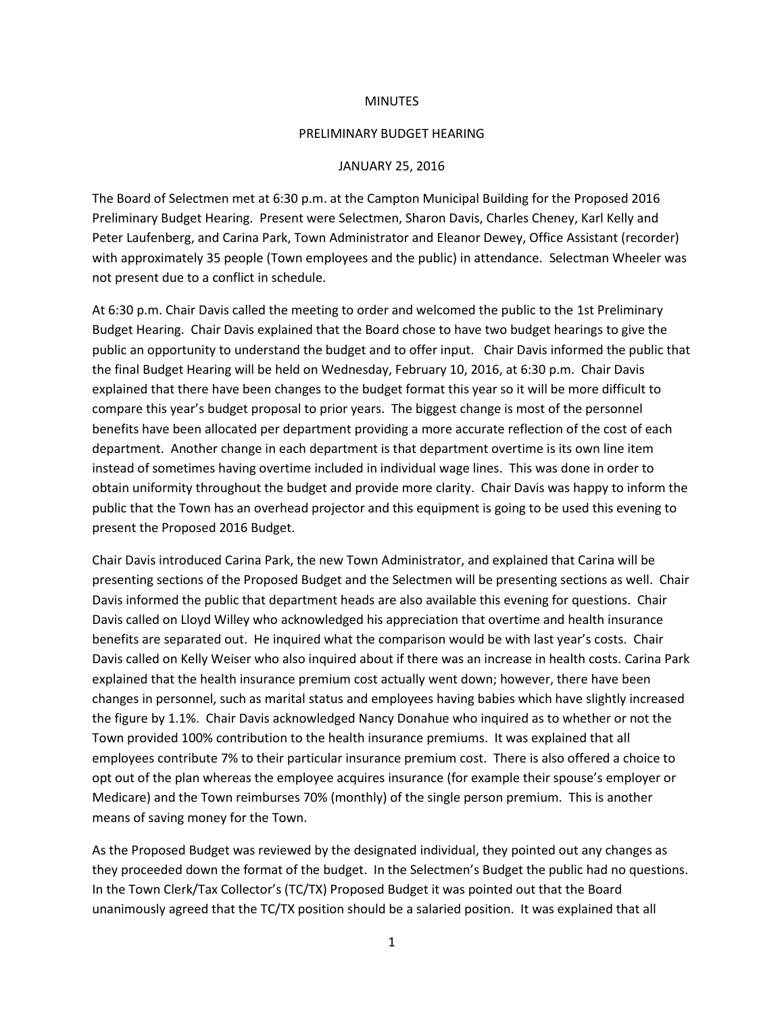## **MINUTES**

## PRELIMINARY BUDGET HEARING

## JANUARY 25, 2016

The Board of Selectmen met at 6:30 p.m. at the Campton Municipal Building for the Proposed 2016 Preliminary Budget Hearing. Present were Selectmen, Sharon Davis, Charles Cheney, Karl Kelly and Peter Laufenberg, and Carina Park, Town Administrator and Eleanor Dewey, Office Assistant (recorder) with approximately 35 people (Town employees and the public) in attendance. Selectman Wheeler was not present due to a conflict in schedule.

At 6:30 p.m. Chair Davis called the meeting to order and welcomed the public to the 1st Preliminary Budget Hearing. Chair Davis explained that the Board chose to have two budget hearings to give the public an opportunity to understand the budget and to offer input. Chair Davis informed the public that the final Budget Hearing will be held on Wednesday, February 10, 2016, at 6:30 p.m. Chair Davis explained that there have been changes to the budget format this year so it will be more difficult to compare this year's budget proposal to prior years. The biggest change is most of the personnel benefits have been allocated per department providing a more accurate reflection of the cost of each department. Another change in each department is that department overtime is its own line item instead of sometimes having overtime included in individual wage lines. This was done in order to obtain uniformity throughout the budget and provide more clarity. Chair Davis was happy to inform the public that the Town has an overhead projector and this equipment is going to be used this evening to present the Proposed 2016 Budget.

Chair Davis introduced Carina Park, the new Town Administrator, and explained that Carina will be presenting sections of the Proposed Budget and the Selectmen will be presenting sections as well. Chair Davis informed the public that department heads are also available this evening for questions. Chair Davis called on Lloyd Willey who acknowledged his appreciation that overtime and health insurance benefits are separated out. He inquired what the comparison would be with last year's costs. Chair Davis called on Kelly Weiser who also inquired about if there was an increase in health costs. Carina Park explained that the health insurance premium cost actually went down; however, there have been changes in personnel, such as marital status and employees having babies which have slightly increased the figure by 1.1%. Chair Davis acknowledged Nancy Donahue who inquired as to whether or not the Town provided 100% contribution to the health insurance premiums. It was explained that all employees contribute 7% to their particular insurance premium cost. There is also offered a choice to opt out of the plan whereas the employee acquires insurance (for example their spouse's employer or Medicare) and the Town reimburses 70% (monthly) of the single person premium. This is another means of saving money for the Town.

As the Proposed Budget was reviewed by the designated individual, they pointed out any changes as they proceeded down the format of the budget. In the Selectmen's Budget the public had no questions. In the Town Clerk/Tax Collector's (TC/TX) Proposed Budget it was pointed out that the Board unanimously agreed that the TC/TX position should be a salaried position. It was explained that all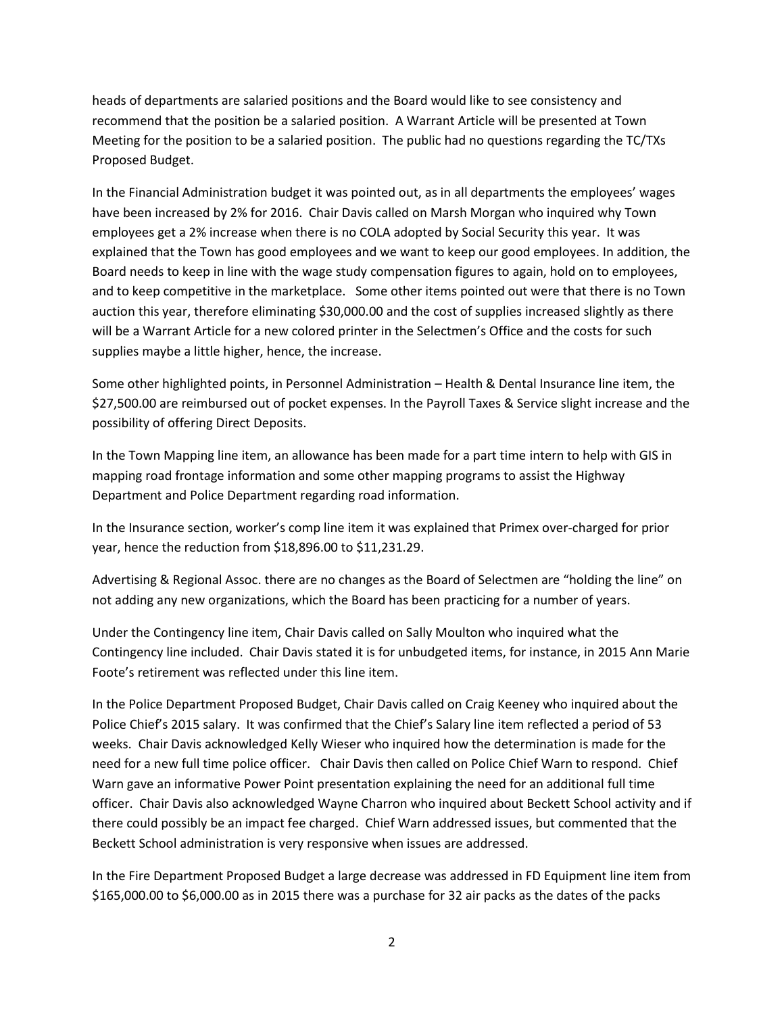heads of departments are salaried positions and the Board would like to see consistency and recommend that the position be a salaried position. A Warrant Article will be presented at Town Meeting for the position to be a salaried position. The public had no questions regarding the TC/TXs Proposed Budget.

In the Financial Administration budget it was pointed out, as in all departments the employees' wages have been increased by 2% for 2016. Chair Davis called on Marsh Morgan who inquired why Town employees get a 2% increase when there is no COLA adopted by Social Security this year. It was explained that the Town has good employees and we want to keep our good employees. In addition, the Board needs to keep in line with the wage study compensation figures to again, hold on to employees, and to keep competitive in the marketplace. Some other items pointed out were that there is no Town auction this year, therefore eliminating \$30,000.00 and the cost of supplies increased slightly as there will be a Warrant Article for a new colored printer in the Selectmen's Office and the costs for such supplies maybe a little higher, hence, the increase.

Some other highlighted points, in Personnel Administration – Health & Dental Insurance line item, the \$27,500.00 are reimbursed out of pocket expenses. In the Payroll Taxes & Service slight increase and the possibility of offering Direct Deposits.

In the Town Mapping line item, an allowance has been made for a part time intern to help with GIS in mapping road frontage information and some other mapping programs to assist the Highway Department and Police Department regarding road information.

In the Insurance section, worker's comp line item it was explained that Primex over-charged for prior year, hence the reduction from \$18,896.00 to \$11,231.29.

Advertising & Regional Assoc. there are no changes as the Board of Selectmen are "holding the line" on not adding any new organizations, which the Board has been practicing for a number of years.

Under the Contingency line item, Chair Davis called on Sally Moulton who inquired what the Contingency line included. Chair Davis stated it is for unbudgeted items, for instance, in 2015 Ann Marie Foote's retirement was reflected under this line item.

In the Police Department Proposed Budget, Chair Davis called on Craig Keeney who inquired about the Police Chief's 2015 salary. It was confirmed that the Chief's Salary line item reflected a period of 53 weeks. Chair Davis acknowledged Kelly Wieser who inquired how the determination is made for the need for a new full time police officer. Chair Davis then called on Police Chief Warn to respond. Chief Warn gave an informative Power Point presentation explaining the need for an additional full time officer. Chair Davis also acknowledged Wayne Charron who inquired about Beckett School activity and if there could possibly be an impact fee charged. Chief Warn addressed issues, but commented that the Beckett School administration is very responsive when issues are addressed.

In the Fire Department Proposed Budget a large decrease was addressed in FD Equipment line item from \$165,000.00 to \$6,000.00 as in 2015 there was a purchase for 32 air packs as the dates of the packs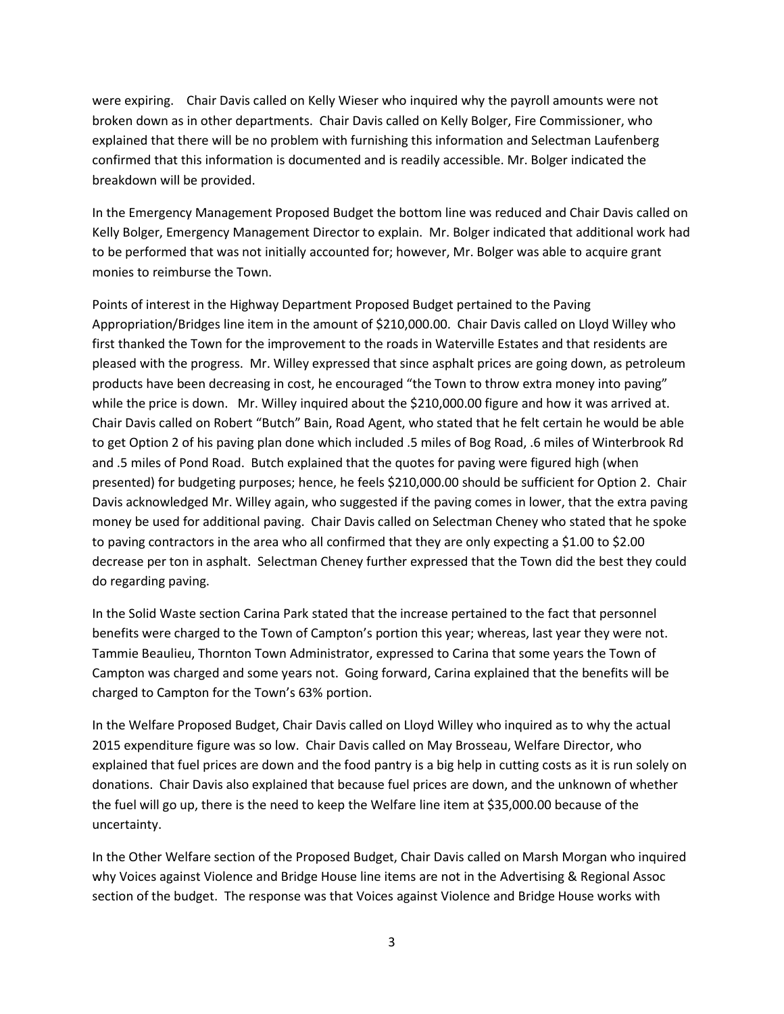were expiring. Chair Davis called on Kelly Wieser who inquired why the payroll amounts were not broken down as in other departments. Chair Davis called on Kelly Bolger, Fire Commissioner, who explained that there will be no problem with furnishing this information and Selectman Laufenberg confirmed that this information is documented and is readily accessible. Mr. Bolger indicated the breakdown will be provided.

In the Emergency Management Proposed Budget the bottom line was reduced and Chair Davis called on Kelly Bolger, Emergency Management Director to explain. Mr. Bolger indicated that additional work had to be performed that was not initially accounted for; however, Mr. Bolger was able to acquire grant monies to reimburse the Town.

Points of interest in the Highway Department Proposed Budget pertained to the Paving Appropriation/Bridges line item in the amount of \$210,000.00. Chair Davis called on Lloyd Willey who first thanked the Town for the improvement to the roads in Waterville Estates and that residents are pleased with the progress. Mr. Willey expressed that since asphalt prices are going down, as petroleum products have been decreasing in cost, he encouraged "the Town to throw extra money into paving" while the price is down. Mr. Willey inquired about the \$210,000.00 figure and how it was arrived at. Chair Davis called on Robert "Butch" Bain, Road Agent, who stated that he felt certain he would be able to get Option 2 of his paving plan done which included .5 miles of Bog Road, .6 miles of Winterbrook Rd and .5 miles of Pond Road. Butch explained that the quotes for paving were figured high (when presented) for budgeting purposes; hence, he feels \$210,000.00 should be sufficient for Option 2. Chair Davis acknowledged Mr. Willey again, who suggested if the paving comes in lower, that the extra paving money be used for additional paving. Chair Davis called on Selectman Cheney who stated that he spoke to paving contractors in the area who all confirmed that they are only expecting a \$1.00 to \$2.00 decrease per ton in asphalt. Selectman Cheney further expressed that the Town did the best they could do regarding paving.

In the Solid Waste section Carina Park stated that the increase pertained to the fact that personnel benefits were charged to the Town of Campton's portion this year; whereas, last year they were not. Tammie Beaulieu, Thornton Town Administrator, expressed to Carina that some years the Town of Campton was charged and some years not. Going forward, Carina explained that the benefits will be charged to Campton for the Town's 63% portion.

In the Welfare Proposed Budget, Chair Davis called on Lloyd Willey who inquired as to why the actual 2015 expenditure figure was so low. Chair Davis called on May Brosseau, Welfare Director, who explained that fuel prices are down and the food pantry is a big help in cutting costs as it is run solely on donations. Chair Davis also explained that because fuel prices are down, and the unknown of whether the fuel will go up, there is the need to keep the Welfare line item at \$35,000.00 because of the uncertainty.

In the Other Welfare section of the Proposed Budget, Chair Davis called on Marsh Morgan who inquired why Voices against Violence and Bridge House line items are not in the Advertising & Regional Assoc section of the budget. The response was that Voices against Violence and Bridge House works with